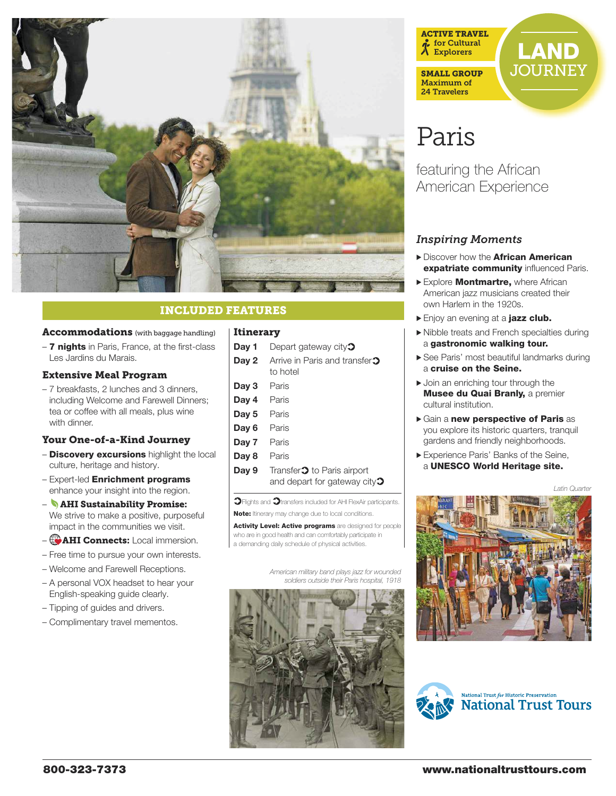

# INCLUDED FEATURES

#### Accommodations (with baggage handling)

– 7 nights in Paris, France, at the first-class Les Jardins du Marais.

#### Extensive Meal Program

– 7 breakfasts, 2 lunches and 3 dinners, including Welcome and Farewell Dinners; tea or coffee with all meals, plus wine with dinner.

#### Your One-of-a-Kind Journey

- **Discovery excursions** highlight the local culture, heritage and history.
- Expert-led Enrichment programs enhance your insight into the region.
- AHI Sustainability Promise: We strive to make a positive, purposeful impact in the communities we visit.
- **CAHI Connects:** Local immersion.
- Free time to pursue your own interests.
- Welcome and Farewell Receptions.
- A personal VOX headset to hear your English-speaking guide clearly.
- Tipping of guides and drivers.
- Complimentary travel mementos.

#### Itinerary

| Day 1 | Depart gateway city $\mathfrak{D}$                                                   |
|-------|--------------------------------------------------------------------------------------|
| Day 2 | Arrive in Paris and transfer <sup>1</sup><br>to hotel                                |
| Day 3 | Paris                                                                                |
| Day 4 | Paris                                                                                |
| Day 5 | Paris                                                                                |
| Day 6 | Paris                                                                                |
| Day 7 | Paris                                                                                |
| Day 8 | Paris                                                                                |
| Day 9 | Transfer <sup>2</sup> to Paris airport<br>and depart for gateway city $\mathfrak{D}$ |

 $\mathfrak{D}$ Flights and  $\mathfrak{D}$ transfers included for AHI FlexAir participants. Note: Itinerary may change due to local conditions.

Activity Level: Active programs are designed for people who are in good health and can comfortably participate in a demanding daily schedule of physical activities.

> American military band plays jazz for wounded soldiers outside their Paris hospital, 1918





# Paris

featuring the African American Experience

## *Inspiring Moments*

- Discover how the **African American** expatriate community influenced Paris.
- Explore Montmartre, where African American jazz musicians created their own Harlem in the 1920s.
- Enjoy an evening at a jazz club.
- > Nibble treats and French specialties during a gastronomic walking tour.
- > See Paris' most beautiful landmarks during a cruise on the Seine.
- $\blacktriangleright$  Join an enriching tour through the **Musee du Quai Branly, a premier** cultural institution.
- > Gain a new perspective of Paris as you explore its historic quarters, tranquil gardens and friendly neighborhoods.
- > Experience Paris' Banks of the Seine, a UNESCO World Heritage site.

Latin Quarter